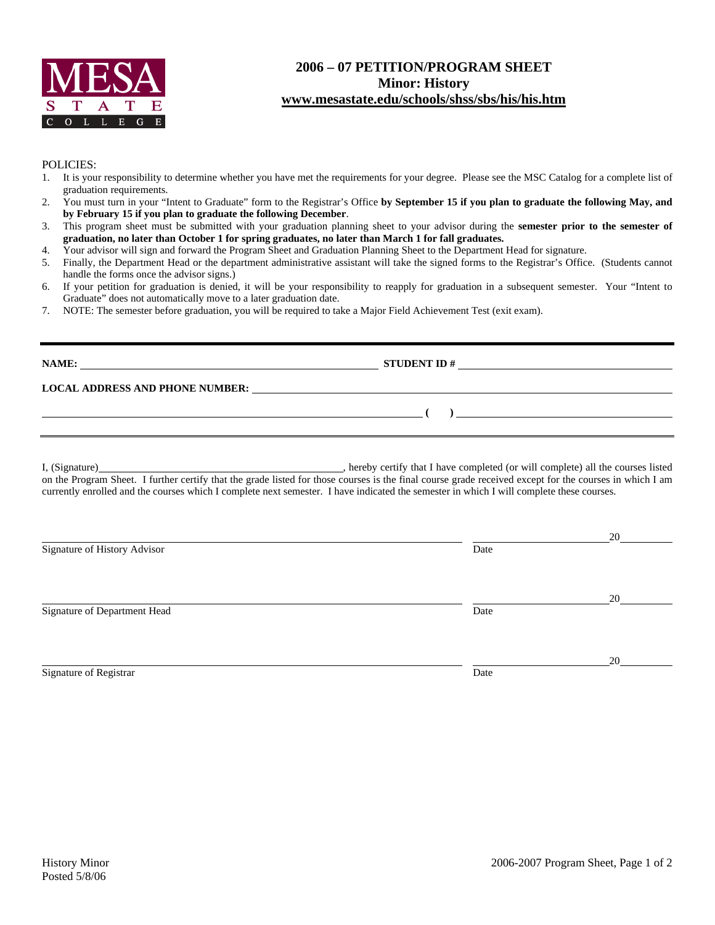

## **2006 – 07 PETITION/PROGRAM SHEET Minor: History www.mesastate.edu/schools/shss/sbs/his/his.htm**

#### POLICIES:

- 1. It is your responsibility to determine whether you have met the requirements for your degree. Please see the MSC Catalog for a complete list of graduation requirements.
- 2. You must turn in your "Intent to Graduate" form to the Registrar's Office **by September 15 if you plan to graduate the following May, and by February 15 if you plan to graduate the following December**.
- 3. This program sheet must be submitted with your graduation planning sheet to your advisor during the **semester prior to the semester of graduation, no later than October 1 for spring graduates, no later than March 1 for fall graduates.**

4. Your advisor will sign and forward the Program Sheet and Graduation Planning Sheet to the Department Head for signature.

- 5. Finally, the Department Head or the department administrative assistant will take the signed forms to the Registrar's Office. (Students cannot handle the forms once the advisor signs.)
- 6. If your petition for graduation is denied, it will be your responsibility to reapply for graduation in a subsequent semester. Your "Intent to Graduate" does not automatically move to a later graduation date.
- 7. NOTE: The semester before graduation, you will be required to take a Major Field Achievement Test (exit exam).

| NAME:                                  | <b>STUDENT ID#</b> |  |  |  |
|----------------------------------------|--------------------|--|--|--|
| <b>LOCAL ADDRESS AND PHONE NUMBER:</b> |                    |  |  |  |
|                                        |                    |  |  |  |

I, (Signature) **Solution** , hereby certify that I have completed (or will complete) all the courses listed on the Program Sheet. I further certify that the grade listed for those courses is the final course grade received except for the courses in which I am currently enrolled and the courses which I complete next semester. I have indicated the semester in which I will complete these courses.

|                              |      | 20 |
|------------------------------|------|----|
| Signature of History Advisor | Date |    |
|                              |      |    |
|                              |      | 20 |
| Signature of Department Head | Date |    |
|                              |      |    |
|                              |      | 20 |
| Signature of Registrar       | Date |    |